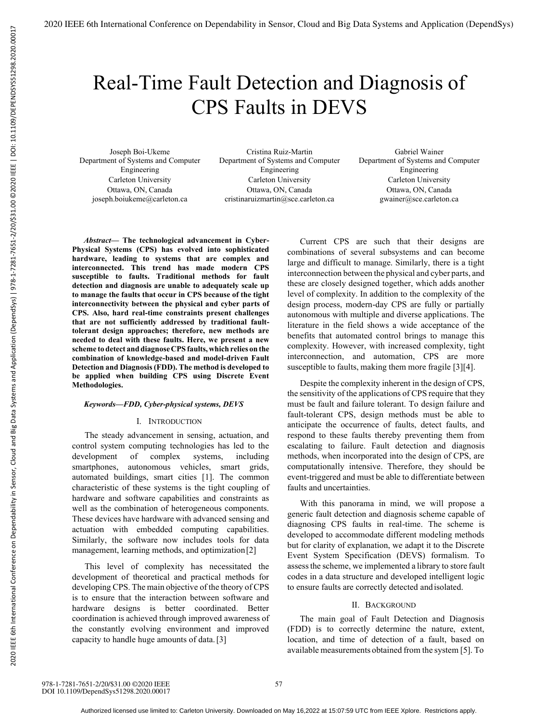# Real-Time Fault Detection and Diagnosis of CPS Faults in DEVS

Joseph Boi-Ukeme Department of Systems and Computer Engineering Carleton University Ottawa, ON, Canada joseph.boiukeme@carleton.ca

Cristina Ruiz-Martin Department of Systems and Computer Engineering Carleton University Ottawa, ON, Canada cristinaruizmartin@sce.carleton.ca

Gabriel Wainer Department of Systems and Computer Engineering Carleton University Ottawa, ON, Canada gwainer@sce.carleton.ca

*Abstract***— The technological advancement in Cyber-Physical Systems (CPS) has evolved into sophisticated hardware, leading to systems that are complex and interconnected. This trend has made modern CPS susceptible to faults. Traditional methods for fault detection and diagnosis are unable to adequately scale up to manage the faults that occur in CPS because of the tight interconnectivity between the physical and cyber parts of CPS. Also, hard real-time constraints present challenges that are not sufficiently addressed by traditional faulttolerant design approaches; therefore, new methods are needed to deal with these faults. Here, we present a new scheme to detect and diagnose CPS faults, which relies on the combination of knowledge-based and model-driven Fault Detection and Diagnosis (FDD). The method is developed to be applied when building CPS using Discrete Event Methodologies.** 

## *Keywords—FDD, Cyber-physical systems, DEVS*

#### I. INTRODUCTION

The steady advancement in sensing, actuation, and control system computing technologies has led to the development of complex systems, including smartphones, autonomous vehicles, smart grids, automated buildings, smart cities [1]. The common characteristic of these systems is the tight coupling of hardware and software capabilities and constraints as well as the combination of heterogeneous components. These devices have hardware with advanced sensing and actuation with embedded computing capabilities. Similarly, the software now includes tools for data management, learning methods, and optimization [2]

This level of complexity has necessitated the development of theoretical and practical methods for developing CPS. The main objective of the theory of CPS is to ensure that the interaction between software and hardware designs is better coordinated. Better coordination is achieved through improved awareness of the constantly evolving environment and improved capacity to handle huge amounts of data. [3]

Current CPS are such that their designs are combinations of several subsystems and can become large and difficult to manage. Similarly, there is a tight interconnection between the physical and cyber parts, and these are closely designed together, which adds another level of complexity. In addition to the complexity of the design process, modern-day CPS are fully or partially autonomous with multiple and diverse applications. The literature in the field shows a wide acceptance of the benefits that automated control brings to manage this complexity. However, with increased complexity, tight interconnection, and automation, CPS are more susceptible to faults, making them more fragile [3][4].

Despite the complexity inherent in the design of CPS, the sensitivity of the applications of CPS require that they must be fault and failure tolerant. To design failure and fault-tolerant CPS, design methods must be able to anticipate the occurrence of faults, detect faults, and respond to these faults thereby preventing them from escalating to failure. Fault detection and diagnosis methods, when incorporated into the design of CPS, are computationally intensive. Therefore, they should be event-triggered and must be able to differentiate between faults and uncertainties.

With this panorama in mind, we will propose a generic fault detection and diagnosis scheme capable of diagnosing CPS faults in real-time. The scheme is developed to accommodate different modeling methods but for clarity of explanation, we adapt it to the Discrete Event System Specification (DEVS) formalism. To assess the scheme, we implemented a library to store fault codes in a data structure and developed intelligent logic to ensure faults are correctly detected and isolated.

#### II. BACKGROUND

The main goal of Fault Detection and Diagnosis (FDD) is to correctly determine the nature, extent, location, and time of detection of a fault, based on available measurements obtained from the system [5]. To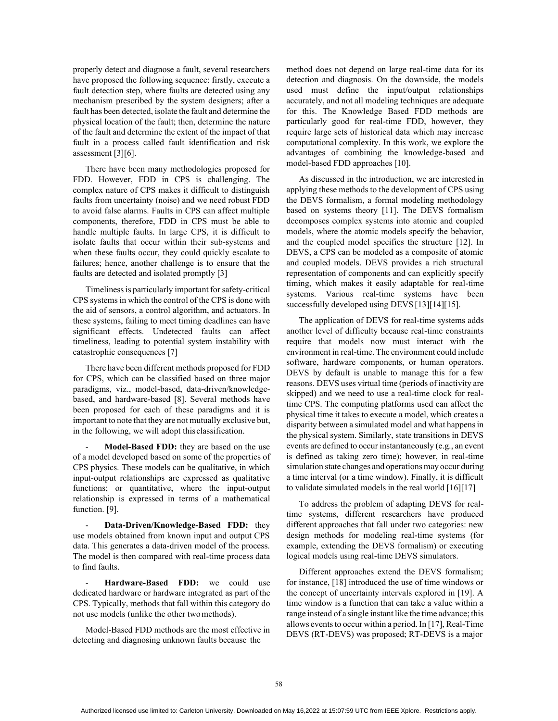properly detect and diagnose a fault, several researchers have proposed the following sequence: firstly, execute a fault detection step, where faults are detected using any mechanism prescribed by the system designers; after a fault has been detected, isolate the fault and determine the physical location of the fault; then, determine the nature of the fault and determine the extent of the impact of that fault in a process called fault identification and risk assessment [3][6].

There have been many methodologies proposed for FDD. However, FDD in CPS is challenging. The complex nature of CPS makes it difficult to distinguish faults from uncertainty (noise) and we need robust FDD to avoid false alarms. Faults in CPS can affect multiple components, therefore, FDD in CPS must be able to handle multiple faults. In large CPS, it is difficult to isolate faults that occur within their sub-systems and when these faults occur, they could quickly escalate to failures; hence, another challenge is to ensure that the faults are detected and isolated promptly [3]

Timeliness is particularly important for safety-critical CPS systems in which the control of the CPS is done with the aid of sensors, a control algorithm, and actuators. In these systems, failing to meet timing deadlines can have significant effects. Undetected faults can affect timeliness, leading to potential system instability with catastrophic consequences [7]

There have been different methods proposed for FDD for CPS, which can be classified based on three major paradigms, viz., model-based, data-driven/knowledgebased, and hardware-based [8]. Several methods have been proposed for each of these paradigms and it is important to note that they are not mutually exclusive but, in the following, we will adopt this classification.

Model-Based FDD: they are based on the use of a model developed based on some of the properties of CPS physics. These models can be qualitative, in which input-output relationships are expressed as qualitative functions; or quantitative, where the input-output relationship is expressed in terms of a mathematical function. [9].

- **Data-Driven/Knowledge-Based FDD:** they use models obtained from known input and output CPS data. This generates a data-driven model of the process. The model is then compared with real-time process data to find faults.

Hardware-Based FDD: we could use dedicated hardware or hardware integrated as part of the CPS. Typically, methods that fall within this category do not use models (unlike the other two methods).

Model-Based FDD methods are the most effective in detecting and diagnosing unknown faults because the

method does not depend on large real-time data for its detection and diagnosis. On the downside, the models used must define the input/output relationships accurately, and not all modeling techniques are adequate for this. The Knowledge Based FDD methods are particularly good for real-time FDD, however, they require large sets of historical data which may increase computational complexity. In this work, we explore the advantages of combining the knowledge-based and model-based FDD approaches [10].

As discussed in the introduction, we are interested in applying these methods to the development of CPS using the DEVS formalism, a formal modeling methodology based on systems theory [11]. The DEVS formalism decomposes complex systems into atomic and coupled models, where the atomic models specify the behavior, and the coupled model specifies the structure [12]. In DEVS, a CPS can be modeled as a composite of atomic and coupled models. DEVS provides a rich structural representation of components and can explicitly specify timing, which makes it easily adaptable for real-time systems. Various real-time systems have been successfully developed using DEVS [13][14][15].

The application of DEVS for real-time systems adds another level of difficulty because real-time constraints require that models now must interact with the environment in real-time. The environment could include software, hardware components, or human operators. DEVS by default is unable to manage this for a few reasons. DEVS uses virtual time (periods of inactivity are skipped) and we need to use a real-time clock for realtime CPS. The computing platforms used can affect the physical time it takes to execute a model, which creates a disparity between a simulated model and what happens in the physical system. Similarly, state transitions in DEVS events are defined to occur instantaneously (e.g., an event is defined as taking zero time); however, in real-time simulation state changes and operations may occur during a time interval (or a time window). Finally, it is difficult to validate simulated models in the real world [16][17]

To address the problem of adapting DEVS for realtime systems, different researchers have produced different approaches that fall under two categories: new design methods for modeling real-time systems (for example, extending the DEVS formalism) or executing logical models using real-time DEVS simulators.

Different approaches extend the DEVS formalism; for instance, [18] introduced the use of time windows or the concept of uncertainty intervals explored in [19]. A time window is a function that can take a value within a range instead of a single instant like the time advance; this allows events to occur within a period. In [17], Real-Time DEVS (RT-DEVS) was proposed; RT-DEVS is a major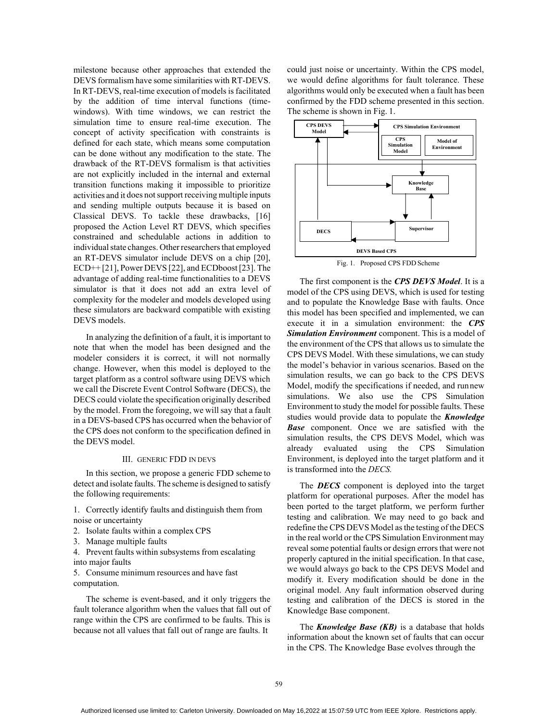milestone because other approaches that extended the DEVS formalism have some similarities with RT-DEVS. In RT-DEVS, real-time execution of models is facilitated by the addition of time interval functions (timewindows). With time windows, we can restrict the simulation time to ensure real-time execution. The concept of activity specification with constraints is defined for each state, which means some computation can be done without any modification to the state. The drawback of the RT-DEVS formalism is that activities are not explicitly included in the internal and external transition functions making it impossible to prioritize activities and it does not support receiving multiple inputs and sending multiple outputs because it is based on Classical DEVS. To tackle these drawbacks, [16] proposed the Action Level RT DEVS, which specifies constrained and schedulable actions in addition to individual state changes. Other researchers that employed an RT-DEVS simulator include DEVS on a chip [20], ECD++ [21], Power DEVS [22], and ECDboost [23]. The advantage of adding real-time functionalities to a DEVS simulator is that it does not add an extra level of complexity for the modeler and models developed using these simulators are backward compatible with existing DEVS models.

In analyzing the definition of a fault, it is important to note that when the model has been designed and the modeler considers it is correct, it will not normally change. However, when this model is deployed to the target platform as a control software using DEVS which we call the Discrete Event Control Software (DECS), the DECS could violate the specification originally described by the model. From the foregoing, we will say that a fault in a DEVS-based CPS has occurred when the behavior of the CPS does not conform to the specification defined in the DEVS model.

#### III. GENERIC FDD IN DEVS

In this section, we propose a generic FDD scheme to detect and isolate faults. The scheme is designed to satisfy the following requirements:

1. Correctly identify faults and distinguish them from noise or uncertainty

- 2. Isolate faults within a complex CPS
- 3. Manage multiple faults

4. Prevent faults within subsystems from escalating into major faults

5. Consume minimum resources and have fast computation.

The scheme is event-based, and it only triggers the fault tolerance algorithm when the values that fall out of range within the CPS are confirmed to be faults. This is because not all values that fall out of range are faults. It

could just noise or uncertainty. Within the CPS model, we would define algorithms for fault tolerance. These algorithms would only be executed when a fault has been confirmed by the FDD scheme presented in this section. The scheme is shown in Fig. 1.



The first component is the *CPS DEVS Model*. It is a model of the CPS using DEVS, which is used for testing and to populate the Knowledge Base with faults. Once this model has been specified and implemented, we can execute it in a simulation environment: the *CPS Simulation Environment* component. This is a model of the environment of the CPS that allows us to simulate the CPS DEVS Model. With these simulations, we can study the model's behavior in various scenarios. Based on the simulation results, we can go back to the CPS DEVS Model, modify the specifications if needed, and run new simulations. We also use the CPS Simulation Environment to study the model for possible faults. These studies would provide data to populate the *Knowledge Base* component. Once we are satisfied with the simulation results, the CPS DEVS Model, which was already evaluated using the CPS Simulation Environment, is deployed into the target platform and it is transformed into the *DECS.* 

The *DECS* component is deployed into the target platform for operational purposes. After the model has been ported to the target platform, we perform further testing and calibration. We may need to go back and redefine the CPS DEVS Model as the testing of the DECS in the real world or the CPS Simulation Environment may reveal some potential faults or design errors that were not properly captured in the initial specification. In that case, we would always go back to the CPS DEVS Model and modify it. Every modification should be done in the original model. Any fault information observed during testing and calibration of the DECS is stored in the Knowledge Base component.

The *Knowledge Base (KB)* is a database that holds information about the known set of faults that can occur in the CPS. The Knowledge Base evolves through the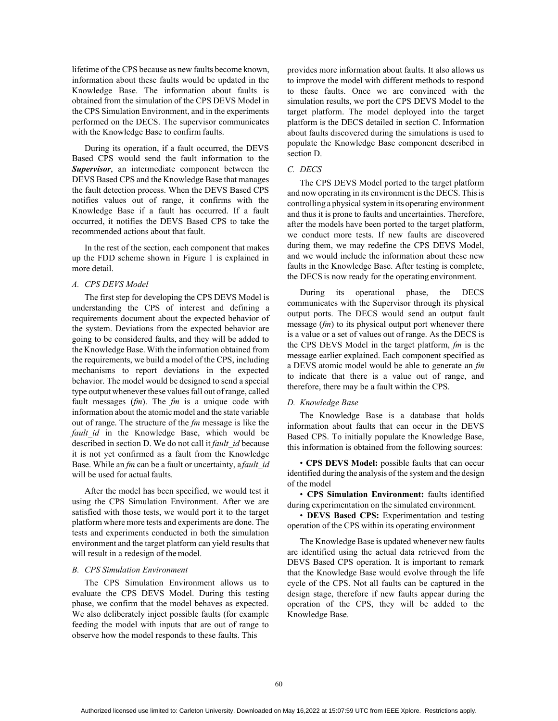lifetime of the CPS because as new faults become known, information about these faults would be updated in the Knowledge Base. The information about faults is obtained from the simulation of the CPS DEVS Model in the CPS Simulation Environment, and in the experiments performed on the DECS. The supervisor communicates with the Knowledge Base to confirm faults.

During its operation, if a fault occurred, the DEVS Based CPS would send the fault information to the *Supervisor*, an intermediate component between the DEVS Based CPS and the Knowledge Base that manages the fault detection process. When the DEVS Based CPS notifies values out of range, it confirms with the Knowledge Base if a fault has occurred. If a fault occurred, it notifies the DEVS Based CPS to take the recommended actions about that fault.

In the rest of the section, each component that makes up the FDD scheme shown in Figure 1 is explained in more detail.

# *A. CPS DEVS Model*

The first step for developing the CPS DEVS Model is understanding the CPS of interest and defining a requirements document about the expected behavior of the system. Deviations from the expected behavior are going to be considered faults, and they will be added to the Knowledge Base. With the information obtained from the requirements, we build a model of the CPS, including mechanisms to report deviations in the expected behavior. The model would be designed to send a special type output whenever these values fall out of range, called fault messages (*fm*). The *fm* is a unique code with information about the atomic model and the state variable out of range. The structure of the *fm* message is like the *fault id* in the Knowledge Base, which would be described in section D. We do not call it *fault\_id* because it is not yet confirmed as a fault from the Knowledge Base. While an *fm* can be a fault or uncertainty, a *fault\_id*  will be used for actual faults.

After the model has been specified, we would test it using the CPS Simulation Environment. After we are satisfied with those tests, we would port it to the target platform where more tests and experiments are done. The tests and experiments conducted in both the simulation environment and the target platform can yield results that will result in a redesign of the model.

## *B. CPS Simulation Environment*

The CPS Simulation Environment allows us to evaluate the CPS DEVS Model. During this testing phase, we confirm that the model behaves as expected. We also deliberately inject possible faults (for example feeding the model with inputs that are out of range to observe how the model responds to these faults. This

provides more information about faults. It also allows us to improve the model with different methods to respond to these faults. Once we are convinced with the simulation results, we port the CPS DEVS Model to the target platform. The model deployed into the target platform is the DECS detailed in section C. Information about faults discovered during the simulations is used to populate the Knowledge Base component described in section D.

# *C. DECS*

The CPS DEVS Model ported to the target platform and now operating in its environment is the DECS. This is controlling a physical system in its operating environment and thus it is prone to faults and uncertainties. Therefore, after the models have been ported to the target platform, we conduct more tests. If new faults are discovered during them, we may redefine the CPS DEVS Model, and we would include the information about these new faults in the Knowledge Base. After testing is complete, the DECS is now ready for the operating environment.

During its operational phase, the DECS communicates with the Supervisor through its physical output ports. The DECS would send an output fault message (*fm*) to its physical output port whenever there is a value or a set of values out of range. As the DECS is the CPS DEVS Model in the target platform, *fm* is the message earlier explained. Each component specified as a DEVS atomic model would be able to generate an *fm*  to indicate that there is a value out of range, and therefore, there may be a fault within the CPS.

#### *D. Knowledge Base*

The Knowledge Base is a database that holds information about faults that can occur in the DEVS Based CPS. To initially populate the Knowledge Base, this information is obtained from the following sources:

• **CPS DEVS Model:** possible faults that can occur identified during the analysis of the system and the design of the model

• **CPS Simulation Environment:** faults identified during experimentation on the simulated environment.

• **DEVS Based CPS:** Experimentation and testing operation of the CPS within its operating environment

The Knowledge Base is updated whenever new faults are identified using the actual data retrieved from the DEVS Based CPS operation. It is important to remark that the Knowledge Base would evolve through the life cycle of the CPS. Not all faults can be captured in the design stage, therefore if new faults appear during the operation of the CPS, they will be added to the Knowledge Base.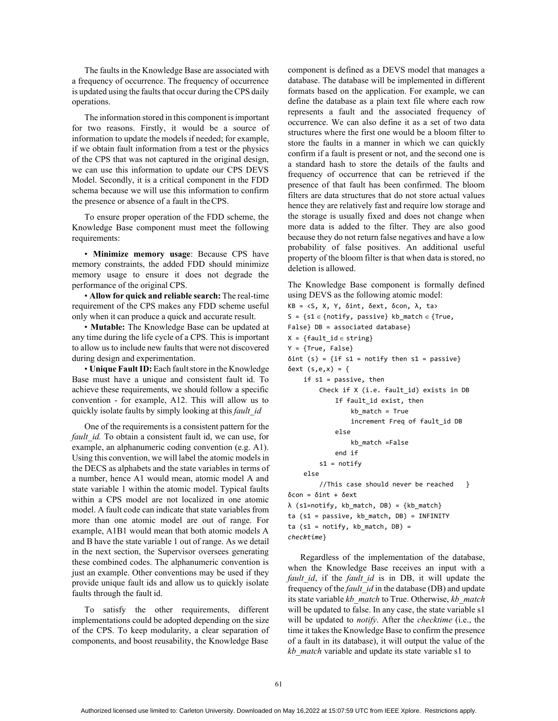The faults in the Knowledge Base are associated with a frequency of occurrence. The frequency of occurrence is updated using the faults that occur during the CPS daily operations.

The information stored in this component is important for two reasons. Firstly, it would be a source of information to update the models if needed; for example, if we obtain fault information from a test or the physics of the CPS that was not captured in the original design, we can use this information to update our CPS DEVS Model. Secondly, it is a critical component in the FDD schema because we will use this information to confirm the presence or absence of a fault in the CPS.

To ensure proper operation of the FDD scheme, the Knowledge Base component must meet the following requirements:

• **Minimize memory usage**: Because CPS have memory constraints, the added FDD should minimize memory usage to ensure it does not degrade the performance of the original CPS.

• **Allow for quick and reliable search:** The real-time requirement of the CPS makes any FDD scheme useful only when it can produce a quick and accurate result.

• **Mutable:** The Knowledge Base can be updated at any time during the life cycle of a CPS. This is important to allow us to include new faults that were not discovered during design and experimentation.

• **Unique Fault ID:** Each fault store in the Knowledge Base must have a unique and consistent fault id. To achieve these requirements, we should follow a specific convention - for example, A12. This will allow us to quickly isolate faults by simply looking at this *fault\_id* 

One of the requirements is a consistent pattern for the *fault id.* To obtain a consistent fault id, we can use, for example, an alphanumeric coding convention (e.g. A1). Using this convention, we will label the atomic models in the DECS as alphabets and the state variables in terms of a number, hence A1 would mean, atomic model A and state variable 1 within the atomic model. Typical faults within a CPS model are not localized in one atomic model. A fault code can indicate that state variables from more than one atomic model are out of range. For example, A1B1 would mean that both atomic models A and B have the state variable 1 out of range. As we detail in the next section, the Supervisor oversees generating these combined codes. The alphanumeric convention is just an example. Other conventions may be used if they provide unique fault ids and allow us to quickly isolate faults through the fault id.

To satisfy the other requirements, different implementations could be adopted depending on the size of the CPS. To keep modularity, a clear separation of components, and boost reusability, the Knowledge Base

component is defined as a DEVS model that manages a database. The database will be implemented in different formats based on the application. For example, we can define the database as a plain text file where each row represents a fault and the associated frequency of occurrence. We can also define it as a set of two data structures where the first one would be a bloom filter to store the faults in a manner in which we can quickly confirm if a fault is present or not, and the second one is a standard hash to store the details of the faults and frequency of occurrence that can be retrieved if the presence of that fault has been confirmed. The bloom filters are data structures that do not store actual values hence they are relatively fast and require low storage and the storage is usually fixed and does not change when more data is added to the filter. They are also good because they do not return false negatives and have a low probability of false positives. An additional useful property of the bloom filter is that when data is stored, no deletion is allowed.

The Knowledge Base component is formally defined using DEVS as the following atomic model:

```
KB = <S, X, Y, δint, δext, δcon, λ, ta> 
S = {s1 \in \{notify, passive\}} kb_match \in {True},
False} DB = associated database} 
X = \{ fault\_id \in string\}Y = {True, False} 
\deltaint (s) = {if s1 = notify then s1 = passive}
δext (s,e,x) = { 
    if s1 = passive, then 
         Check if X (i.e. fault_id) exists in DB 
             If fault_id exist, then 
                  kb_match = True 
                  increment Freq of fault_id DB 
             else 
                  kb_match =False 
             end if 
         s1 = \text{notify}else 
         //This case should never be reached } 
δcon = δint + δext 
λ (s1=notify, kb_match, DB) = {kb_match} 
ta (s1 = passive, kb_match, DB) = INFINITY 
ta (s1 = notify, kb_match, DB) =
checktime}
```
Regardless of the implementation of the database, when the Knowledge Base receives an input with a *fault id*, if the *fault id* is in DB, it will update the frequency of the *fault\_id* in the database (DB) and update its state variable *kb\_match* to True. Otherwise, *kb\_match*  will be updated to false. In any case, the state variable s1 will be updated to *notify*. After the *checktime* (i.e., the time it takes the Knowledge Base to confirm the presence of a fault in its database), it will output the value of the *kb\_match* variable and update its state variable s1 to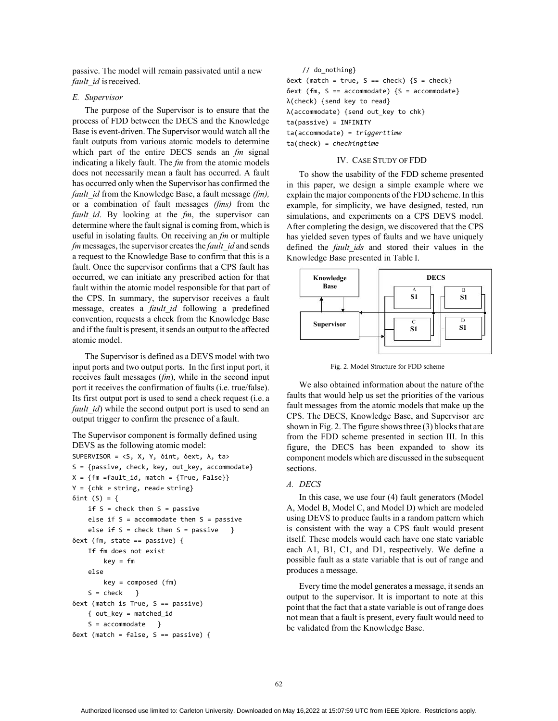passive. The model will remain passivated until a new *fault id* is received.

#### *E. Supervisor*

The purpose of the Supervisor is to ensure that the process of FDD between the DECS and the Knowledge Base is event-driven. The Supervisor would watch all the fault outputs from various atomic models to determine which part of the entire DECS sends an *fm* signal indicating a likely fault. The *fm* from the atomic models does not necessarily mean a fault has occurred. A fault has occurred only when the Supervisor has confirmed the *fault\_id* from the Knowledge Base, a fault message *(fm),*  or a combination of fault messages *(fms)* from the *fault\_id*. By looking at the *fm*, the supervisor can determine where the fault signal is coming from, which is useful in isolating faults. On receiving an *fm* or multiple *fm* messages, the supervisor creates the *fault\_id* and sends a request to the Knowledge Base to confirm that this is a fault. Once the supervisor confirms that a CPS fault has occurred, we can initiate any prescribed action for that fault within the atomic model responsible for that part of the CPS. In summary, the supervisor receives a fault message, creates a *fault\_id* following a predefined convention, requests a check from the Knowledge Base and if the fault is present, it sends an output to the affected atomic model.

The Supervisor is defined as a DEVS model with two input ports and two output ports. In the first input port, it receives fault messages (*fm*), while in the second input port it receives the confirmation of faults (i.e. true/false). Its first output port is used to send a check request (i.e. a *fault\_id*) while the second output port is used to send an output trigger to confirm the presence of a fault.

The Supervisor component is formally defined using DEVS as the following atomic model: SUPERVISOR = <S, X, Y, δint, δext, λ, ta> S = {passive, check, key, out\_key, accommodate}  $X = \{fm = fault_id, match = \{True, False\}\}$  $Y = \{ chk \in string, read \in string \}$ δint  $(S) = \{$ if  $S =$  check then  $S =$  passive else if  $S =$  accommodate then  $S =$  passive else if S = check then S = passive } δext (fm, state == passive) { If fm does not exist key = fm else key = composed (fm)  $S = check$  } δext (match is True, S == passive) { out\_key = matched\_id  $S =$  accommodate } δext (match = false, S == passive) {

// do\_nothing}  $\delta$ ext (match = true, S == check) {S = check} δext (fm, S == accommodate) {S = accommodate} λ(check) {send key to read} λ(accommodate) {send out\_key to chk} ta(passive) = INFINITY ta(accommodate) = *triggerttime*  ta(check) = *checkingtime* 

# IV. CASE STUDY OF FDD

To show the usability of the FDD scheme presented in this paper, we design a simple example where we explain the major components of the FDD scheme. In this example, for simplicity, we have designed, tested, run simulations, and experiments on a CPS DEVS model. After completing the design, we discovered that the CPS has yielded seven types of faults and we have uniquely defined the *fault\_ids* and stored their values in the Knowledge Base presented in Table I.



Fig. 2. Model Structure for FDD scheme

We also obtained information about the nature of the faults that would help us set the priorities of the various fault messages from the atomic models that make up the CPS. The DECS, Knowledge Base, and Supervisor are shown in Fig. 2. The figure shows three (3) blocks that are from the FDD scheme presented in section III. In this figure, the DECS has been expanded to show its component models which are discussed in the subsequent sections.

## *A. DECS*

In this case, we use four (4) fault generators (Model A, Model B, Model C, and Model D) which are modeled using DEVS to produce faults in a random pattern which is consistent with the way a CPS fault would present itself. These models would each have one state variable each A1, B1, C1, and D1, respectively. We define a possible fault as a state variable that is out of range and produces a message.

Every time the model generates a message, it sends an output to the supervisor. It is important to note at this point that the fact that a state variable is out of range does not mean that a fault is present, every fault would need to be validated from the Knowledge Base.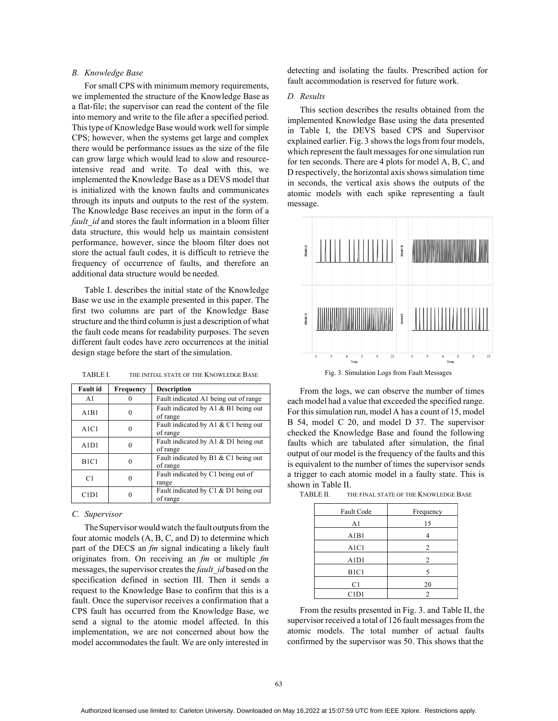# *B. Knowledge Base*

For small CPS with minimum memory requirements, we implemented the structure of the Knowledge Base as a flat-file; the supervisor can read the content of the file into memory and write to the file after a specified period. This type of Knowledge Base would work well for simple CPS; however, when the systems get large and complex there would be performance issues as the size of the file can grow large which would lead to slow and resourceintensive read and write. To deal with this, we implemented the Knowledge Base as a DEVS model that is initialized with the known faults and communicates through its inputs and outputs to the rest of the system. The Knowledge Base receives an input in the form of a *fault id* and stores the fault information in a bloom filter data structure, this would help us maintain consistent performance, however, since the bloom filter does not store the actual fault codes, it is difficult to retrieve the frequency of occurrence of faults, and therefore an additional data structure would be needed.

Table I. describes the initial state of the Knowledge Base we use in the example presented in this paper. The first two columns are part of the Knowledge Base structure and the third column is just a description of what the fault code means for readability purposes. The seven different fault codes have zero occurrences at the initial design stage before the start of the simulation.

| Fault id       | Frequency | <b>Description</b>                               |
|----------------|-----------|--------------------------------------------------|
| A <sub>1</sub> |           | Fault indicated A1 being out of range            |
| A1B1           | 0         | Fault indicated by A1 & B1 being out<br>of range |
| A1C1           | 0         | Fault indicated by A1 & C1 being out<br>of range |
| A1D1           | 0         | Fault indicated by A1 & D1 being out<br>of range |
| B1C1           | 0         | Fault indicated by B1 & C1 being out<br>of range |
| C1             | 0         | Fault indicated by C1 being out of<br>range      |
| C1D1           | 0         | Fault indicated by C1 & D1 being out<br>of range |

TABLE I. THE INITIAL STATE OF THE KNOWLEDGE BASE

#### *C. Supervisor*

The Supervisor would watch the fault outputs from the four atomic models (A, B, C, and D) to determine which part of the DECS an *fm* signal indicating a likely fault originates from. On receiving an *fm* or multiple *fm*  messages, the supervisor creates the *fault\_id* based on the specification defined in section III. Then it sends a request to the Knowledge Base to confirm that this is a fault. Once the supervisor receives a confirmation that a CPS fault has occurred from the Knowledge Base, we send a signal to the atomic model affected. In this implementation, we are not concerned about how the model accommodates the fault. We are only interested in

detecting and isolating the faults. Prescribed action for fault accommodation is reserved for future work.

### *D. Results*

This section describes the results obtained from the implemented Knowledge Base using the data presented in Table I, the DEVS based CPS and Supervisor explained earlier. Fig. 3 shows the logs from four models, which represent the fault messages for one simulation run for ten seconds. There are 4 plots for model A, B, C, and D respectively, the horizontal axis shows simulation time in seconds, the vertical axis shows the outputs of the atomic models with each spike representing a fault message.



From the logs, we can observe the number of times each model had a value that exceeded the specified range. For this simulation run, model A has a count of 15, model B 54, model C 20, and model D 37. The supervisor checked the Knowledge Base and found the following faults which are tabulated after simulation, the final output of our model is the frequency of the faults and this is equivalent to the number of times the supervisor sends a trigger to each atomic model in a faulty state. This is shown in Table II.

| Fault Code                    | Frequency      |
|-------------------------------|----------------|
| A <sub>1</sub>                | 15             |
| A1B1                          | 4              |
| A <sub>1</sub> C <sub>1</sub> | $\overline{2}$ |
| A <sub>1</sub> D <sub>1</sub> | $\overline{2}$ |
| B <sub>1</sub> C <sub>1</sub> | 5              |
| C <sub>1</sub>                | 20             |
| C1D1                          | $\overline{2}$ |

TABLE II. THE FINAL STATE OF THE KNOWLEDGE BASE

From the results presented in Fig. 3. and Table II, the supervisor received a total of 126 fault messages from the atomic models. The total number of actual faults confirmed by the supervisor was 50. This shows that the